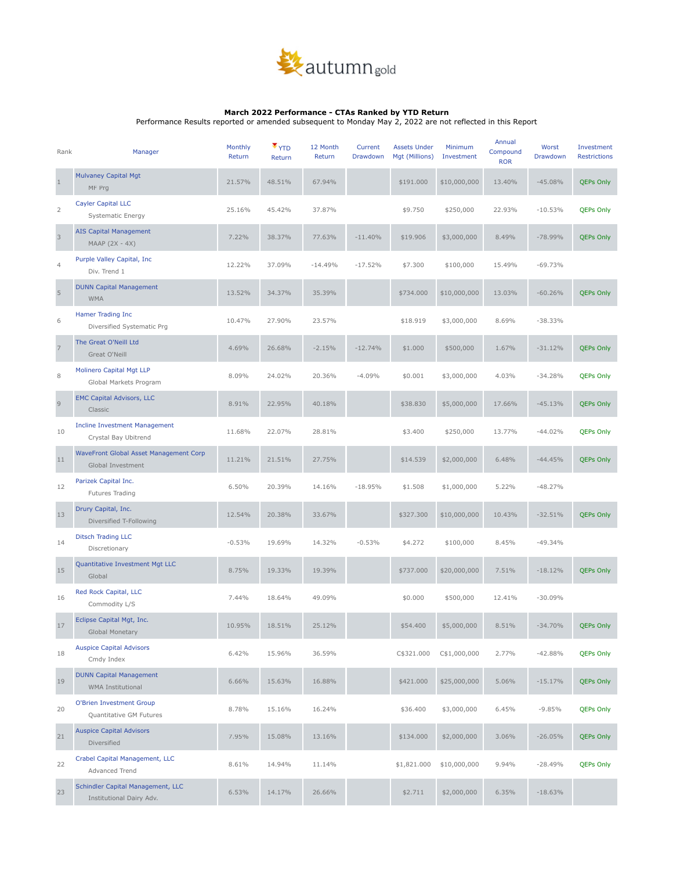

## **March 2022 Performance - CTAs Ranked by YTD Return**

Performance Results reported or amended subsequent to Monday May 2, 2022 are not reflected in this Report

| Rank           | Manager                                                       | Monthly<br>Return | $\blacktriangledown$ YTD<br>Return | 12 Month<br>Return | Current<br>Drawdown | <b>Assets Under</b><br>Mgt (Millions) | Minimum<br>Investment | Annual<br>Compound<br><b>ROR</b> | Worst<br>Drawdown | Investment<br><b>Restrictions</b> |
|----------------|---------------------------------------------------------------|-------------------|------------------------------------|--------------------|---------------------|---------------------------------------|-----------------------|----------------------------------|-------------------|-----------------------------------|
| $\mathbf{1}$   | <b>Mulvaney Capital Mgt</b><br>MF Prg                         | 21.57%            | 48.51%                             | 67.94%             |                     | \$191.000                             | \$10,000,000          | 13.40%                           | $-45.08%$         | <b>QEPs Only</b>                  |
| 2              | <b>Cayler Capital LLC</b><br>Systematic Energy                | 25.16%            | 45.42%                             | 37.87%             |                     | \$9.750                               | \$250,000             | 22.93%                           | $-10.53%$         | <b>QEPs Only</b>                  |
| 3              | <b>AIS Capital Management</b><br>MAAP (2X - 4X)               | 7.22%             | 38.37%                             | 77.63%             | $-11.40%$           | \$19.906                              | \$3,000,000           | 8.49%                            | $-78.99%$         | <b>QEPs Only</b>                  |
| $\overline{4}$ | Purple Valley Capital, Inc.<br>Div. Trend 1                   | 12.22%            | 37.09%                             | $-14.49%$          | $-17.52%$           | \$7.300                               | \$100,000             | 15.49%                           | $-69.73%$         |                                   |
| $\sqrt{5}$     | <b>DUNN Capital Management</b><br><b>WMA</b>                  | 13.52%            | 34.37%                             | 35.39%             |                     | \$734.000                             | \$10,000,000          | 13.03%                           | $-60.26%$         | <b>QEPs Only</b>                  |
| 6              | Hamer Trading Inc<br>Diversified Systematic Prg               | 10.47%            | 27.90%                             | 23.57%             |                     | \$18.919                              | \$3,000,000           | 8.69%                            | $-38.33%$         |                                   |
| $\overline{7}$ | The Great O'Neill Ltd<br>Great O'Neill                        | 4.69%             | 26.68%                             | $-2.15%$           | $-12.74%$           | \$1.000                               | \$500,000             | 1.67%                            | $-31.12%$         | <b>QEPs Only</b>                  |
| 8              | Molinero Capital Mgt LLP<br>Global Markets Program            | 8.09%             | 24.02%                             | 20.36%             | $-4.09%$            | \$0.001                               | \$3,000,000           | 4.03%                            | $-34.28%$         | <b>QEPs Only</b>                  |
| $\mathsf{9}$   | <b>EMC Capital Advisors, LLC</b><br>Classic                   | 8.91%             | 22.95%                             | 40.18%             |                     | \$38.830                              | \$5,000,000           | 17.66%                           | $-45.13%$         | <b>QEPs Only</b>                  |
| 10             | <b>Incline Investment Management</b><br>Crystal Bay Ubitrend  | 11.68%            | 22.07%                             | 28.81%             |                     | \$3.400                               | \$250,000             | 13.77%                           | $-44.02%$         | <b>QEPs Only</b>                  |
| 11             | WaveFront Global Asset Management Corp<br>Global Investment   | 11.21%            | 21.51%                             | 27.75%             |                     | \$14.539                              | \$2,000,000           | 6.48%                            | $-44.45%$         | <b>QEPs Only</b>                  |
| 12             | Parizek Capital Inc.<br>Futures Trading                       | 6.50%             | 20.39%                             | 14.16%             | $-18.95%$           | \$1.508                               | \$1,000,000           | 5.22%                            | $-48.27%$         |                                   |
| 13             | Drury Capital, Inc.<br>Diversified T-Following                | 12.54%            | 20.38%                             | 33.67%             |                     | \$327.300                             | \$10,000,000          | 10.43%                           | $-32.51%$         | <b>QEPs Only</b>                  |
| 14             | <b>Ditsch Trading LLC</b><br>Discretionary                    | $-0.53%$          | 19.69%                             | 14.32%             | $-0.53%$            | \$4.272                               | \$100,000             | 8.45%                            | $-49.34%$         |                                   |
| 15             | Quantitative Investment Mgt LLC<br>Global                     | 8.75%             | 19.33%                             | 19.39%             |                     | \$737.000                             | \$20,000,000          | 7.51%                            | $-18.12%$         | <b>QEPs Only</b>                  |
| 16             | Red Rock Capital, LLC<br>Commodity L/S                        | 7.44%             | 18.64%                             | 49.09%             |                     | \$0.000                               | \$500,000             | 12.41%                           | $-30.09%$         |                                   |
| 17             | Eclipse Capital Mgt, Inc.<br>Global Monetary                  | 10.95%            | 18.51%                             | 25.12%             |                     | \$54.400                              | \$5,000,000           | 8.51%                            | $-34.70%$         | <b>QEPs Only</b>                  |
| 18             | <b>Auspice Capital Advisors</b><br>Cmdy Index                 | 6.42%             | 15.96%                             | 36.59%             |                     | C\$321.000                            | C\$1,000,000          | 2.77%                            | $-42.88%$         | <b>QEPs Only</b>                  |
| 19             | <b>DUNN Capital Management</b><br><b>WMA Institutional</b>    | 6.66%             | 15.63%                             | 16.88%             |                     | \$421.000                             | \$25,000,000          | 5.06%                            | $-15.17%$         | <b>QEPs Only</b>                  |
| 20             | O'Brien Investment Group<br>Quantitative GM Futures           | 8.78%             | 15.16%                             | 16.24%             |                     | \$36.400                              | \$3,000,000           | 6.45%                            | $-9.85%$          | <b>QEPs Only</b>                  |
| 21             | <b>Auspice Capital Advisors</b><br>Diversified                | 7.95%             | 15.08%                             | 13.16%             |                     | \$134.000                             | \$2,000,000           | 3.06%                            | $-26.05%$         | <b>QEPs Only</b>                  |
| 22             | Crabel Capital Management, LLC<br>Advanced Trend              | 8.61%             | 14.94%                             | 11.14%             |                     | \$1,821.000                           | \$10,000,000          | 9.94%                            | $-28.49%$         | <b>QEPs Only</b>                  |
| 23             | Schindler Capital Management, LLC<br>Institutional Dairy Adv. | 6.53%             | 14.17%                             | 26.66%             |                     | \$2.711                               | \$2,000,000           | 6.35%                            | $-18.63%$         |                                   |